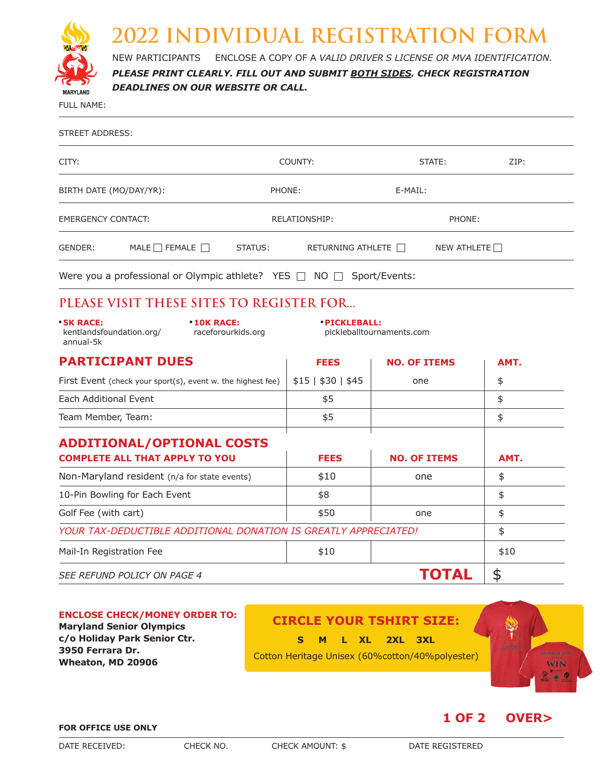

## **2022 INDIVIDUAL REGISTRATION FORM**

NEW PARTICIPANTS – ENCLOSE A COPY OF A *VALID DRIVER'S LICENSE OR MVA IDENTIFICATION*.

*PLEASE PRINT CLEARLY. FILL OUT AND SUBMIT BOTH SIDES. CHECK REGISTRATION DEADLINES ON OUR WEBSITE OR CALL.*

FULL NAME:

| STREET ADDRESS:           |                                                                  |                      |                          |               |                    |  |  |
|---------------------------|------------------------------------------------------------------|----------------------|--------------------------|---------------|--------------------|--|--|
| CITY:                     |                                                                  | COUNTY:              |                          |               | ZIP:<br>STATE:     |  |  |
| BIRTH DATE (MO/DAY/YR):   |                                                                  | PHONE:               |                          | E-MAIL:       |                    |  |  |
| <b>EMERGENCY CONTACT:</b> |                                                                  | <b>RELATIONSHIP:</b> |                          | PHONE:        |                    |  |  |
| GENDER:                   | MALE $\Box$ FEMALE $\Box$                                        | STATUS:              | RETURNING ATHLETE $\Box$ |               | NEW ATHLETE $\Box$ |  |  |
|                           | Were you a professional or Olympic athlete? YES $\Box$ NO $\Box$ |                      |                          | Sport/Events: |                    |  |  |

## **PLEASE VISIT THESE SITES TO REGISTER FOR...**

| $-5K$ RACE:<br>kentlandsfoundation.org/<br>annual-5k                          | $-10K$ RACE:<br>raceforourkids.org | <b>- PICKLEBALL:</b><br>pickleballtournaments.com |                            |            |
|-------------------------------------------------------------------------------|------------------------------------|---------------------------------------------------|----------------------------|------------|
| <b>PARTICIPANT DUES</b>                                                       |                                    | <b>FEES</b>                                       | <b>NO. OF ITEMS</b>        | AMT.       |
| First Event (check your sport(s), event w. the highest fee)                   |                                    | $$15 \mid $30 \mid $45$                           | one                        | \$         |
| Each Additional Event                                                         |                                    | \$5                                               |                            | \$         |
| Team Member, Team:                                                            |                                    | \$5                                               |                            | \$         |
| <b>ADDITIONAL/OPTIONAL COSTS</b><br><b>COMPLETE ALL THAT APPLY TO YOU</b>     |                                    | <b>FEES</b><br>\$10                               | <b>NO. OF ITEMS</b><br>one | AMT.<br>\$ |
| Non-Maryland resident (n/a for state events)<br>10-Pin Bowling for Each Event |                                    | \$8                                               |                            | \$         |
| Golf Fee (with cart)                                                          |                                    | \$50                                              | one                        | \$         |
| YOUR TAX-DEDUCTIBLE ADDITIONAL DONATION IS GREATLY APPRECIATED!               | \$                                 |                                                   |                            |            |
| Mail-In Registration Fee                                                      |                                    | \$10                                              |                            | \$10       |
| SEE REFUND POLICY ON PAGE 4                                                   |                                    |                                                   | ГОТАL                      | \$         |

### **CIRCLE YOUR TSHIRT SIZE: S M L XL 2XL 3XL**  Cotton Heritage Unisex (60%cotton/40%polyester) **ENCLOSE CHECK/MONEY ORDER TO: Maryland Senior Olympics c/o Holiday Park Senior Ctr. 3950 Ferrara Dr. Wheaton, MD 20906**

#### **FOR OFFICE USE ONLY**





**1 OF 2 OVER>**